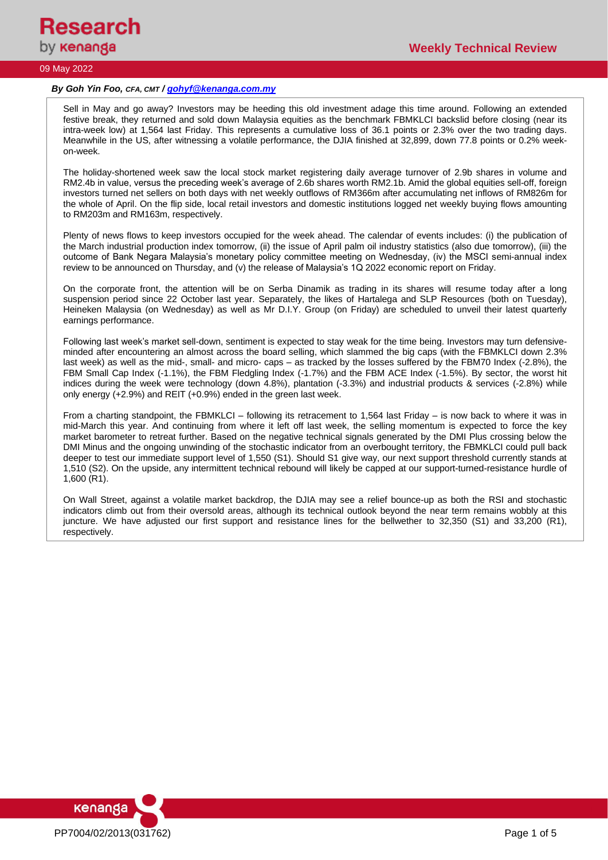

### *By Goh Yin Foo, CFA, CMT / [gohyf@kenanga.com.my](mailto:gohyf@kenanga.com.my)*

Sell in May and go away? Investors may be heeding this old investment adage this time around. Following an extended festive break, they returned and sold down Malaysia equities as the benchmark FBMKLCI backslid before closing (near its intra-week low) at 1,564 last Friday. This represents a cumulative loss of 36.1 points or 2.3% over the two trading days. Meanwhile in the US, after witnessing a volatile performance, the DJIA finished at 32,899, down 77.8 points or 0.2% weekon-week.

The holiday-shortened week saw the local stock market registering daily average turnover of 2.9b shares in volume and RM2.4b in value, versus the preceding week's average of 2.6b shares worth RM2.1b. Amid the global equities sell-off, foreign investors turned net sellers on both days with net weekly outflows of RM366m after accumulating net inflows of RM826m for the whole of April. On the flip side, local retail investors and domestic institutions logged net weekly buying flows amounting to RM203m and RM163m, respectively.

Plenty of news flows to keep investors occupied for the week ahead. The calendar of events includes: (i) the publication of the March industrial production index tomorrow, (ii) the issue of April palm oil industry statistics (also due tomorrow), (iii) the outcome of Bank Negara Malaysia's monetary policy committee meeting on Wednesday, (iv) the MSCI semi-annual index review to be announced on Thursday, and (v) the release of Malaysia's 1Q 2022 economic report on Friday.

On the corporate front, the attention will be on Serba Dinamik as trading in its shares will resume today after a long suspension period since 22 October last year. Separately, the likes of Hartalega and SLP Resources (both on Tuesday), Heineken Malaysia (on Wednesday) as well as Mr D.I.Y. Group (on Friday) are scheduled to unveil their latest quarterly earnings performance.

Following last week's market sell-down, sentiment is expected to stay weak for the time being. Investors may turn defensiveminded after encountering an almost across the board selling, which slammed the big caps (with the FBMKLCI down 2.3% last week) as well as the mid-, small- and micro- caps – as tracked by the losses suffered by the FBM70 Index (-2.8%), the FBM Small Cap Index (-1.1%), the FBM Fledgling Index (-1.7%) and the FBM ACE Index (-1.5%). By sector, the worst hit indices during the week were technology (down 4.8%), plantation (-3.3%) and industrial products & services (-2.8%) while only energy (+2.9%) and REIT (+0.9%) ended in the green last week.

From a charting standpoint, the FBMKLCI – following its retracement to 1,564 last Friday – is now back to where it was in mid-March this year. And continuing from where it left off last week, the selling momentum is expected to force the key market barometer to retreat further. Based on the negative technical signals generated by the DMI Plus crossing below the DMI Minus and the ongoing unwinding of the stochastic indicator from an overbought territory, the FBMKLCI could pull back deeper to test our immediate support level of 1,550 (S1). Should S1 give way, our next support threshold currently stands at 1,510 (S2). On the upside, any intermittent technical rebound will likely be capped at our support-turned-resistance hurdle of 1,600 (R1).

On Wall Street, against a volatile market backdrop, the DJIA may see a relief bounce-up as both the RSI and stochastic indicators climb out from their oversold areas, although its technical outlook beyond the near term remains wobbly at this juncture. We have adjusted our first support and resistance lines for the bellwether to 32,350 (S1) and 33,200 (R1), respectively.

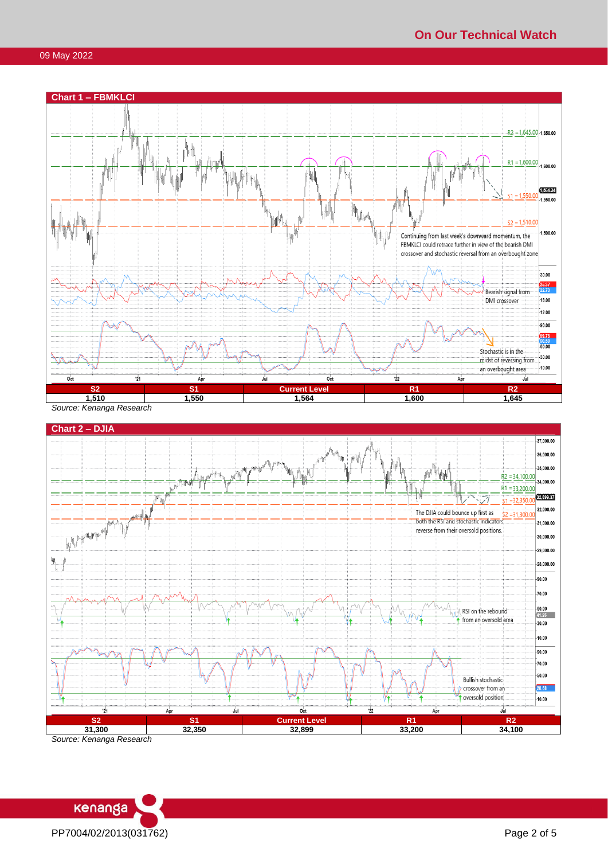



*Source: Kenanga Research*

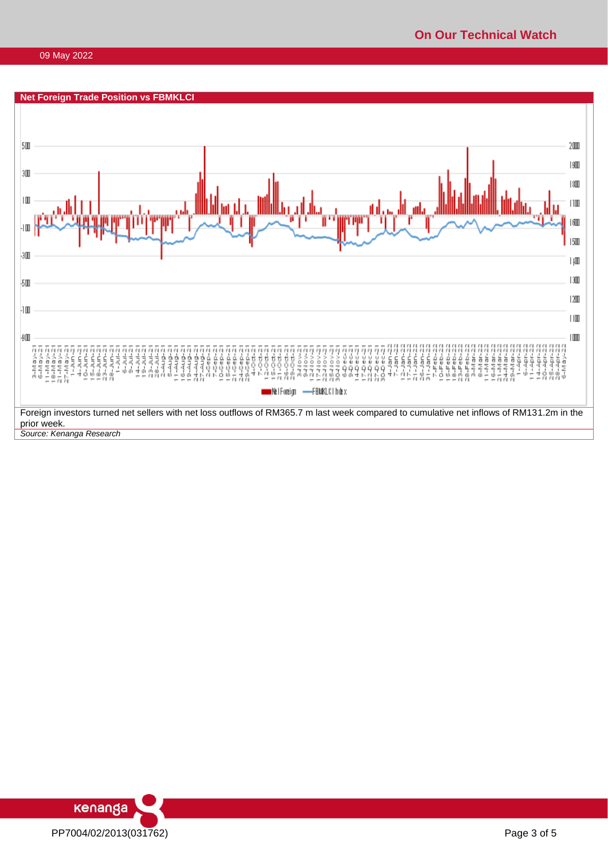

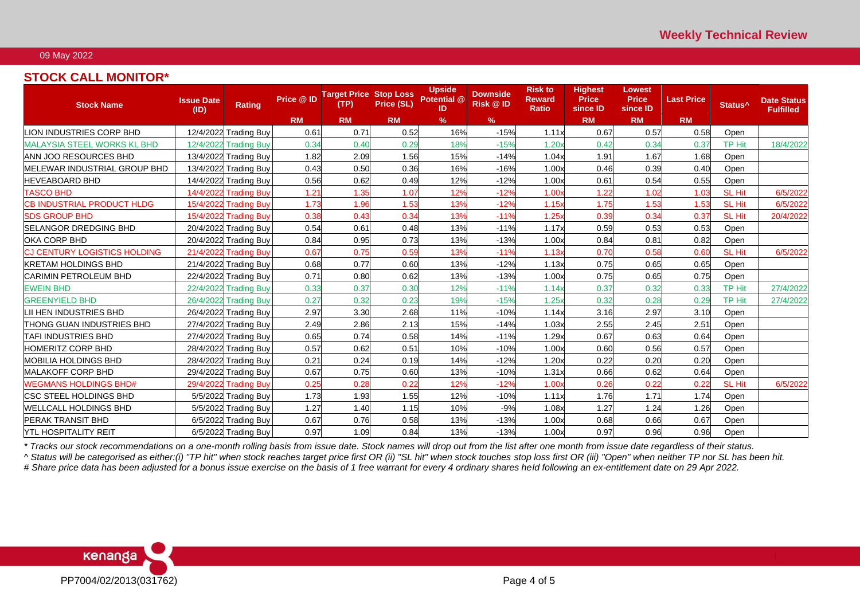# **STOCK CALL MONITOR\***

| <b>Stock Name</b>                   | <b>Issue Date</b><br>(1D) | <b>Rating</b>         | Price @ ID | <b>Target Price</b><br>(TP) | <b>Stop Loss</b><br>Price (SL) | <b>Upside</b><br>Potential @<br>ID | <b>Downside</b><br><b>Risk @ID</b> | <b>Risk to</b><br><b>Reward</b><br><b>Ratio</b> | <b>Highest</b><br><b>Price</b><br>since ID | <b>Lowest</b><br><b>Price</b><br>since ID | <b>Last Price</b> | Status <sup>^</sup> | <b>Date Status</b><br><b>Fulfilled</b> |
|-------------------------------------|---------------------------|-----------------------|------------|-----------------------------|--------------------------------|------------------------------------|------------------------------------|-------------------------------------------------|--------------------------------------------|-------------------------------------------|-------------------|---------------------|----------------------------------------|
|                                     |                           |                       | <b>RM</b>  | <b>RM</b>                   | <b>RM</b>                      | $\%$                               | %                                  |                                                 | <b>RM</b>                                  | <b>RM</b>                                 | <b>RM</b>         |                     |                                        |
| LION INDUSTRIES CORP BHD            |                           | 12/4/2022 Trading Buy | 0.61       | 0.71                        | 0.52                           | 16%                                | $-15%$                             | 1.11x                                           | 0.67                                       | 0.57                                      | 0.58              | Open                |                                        |
| <b>MALAYSIA STEEL WORKS KL BHD</b>  |                           | 12/4/2022 Trading Buy | 0.34       | 0.40                        | 0.29                           | 18%                                | $-15%$                             | 1.20x                                           | 0.42                                       | 0.34                                      | 0.37              | <b>TP Hit</b>       | 18/4/2022                              |
| ANN JOO RESOURCES BHD               |                           | 13/4/2022 Trading Buy | 1.82       | 2.09                        | 1.56                           | 15%                                | $-14%$                             | 1.04x                                           | 1.91                                       | 1.67                                      | 1.68              | Open                |                                        |
| MELEWAR INDUSTRIAL GROUP BHD        |                           | 13/4/2022 Trading Buy | 0.43       | 0.50                        | 0.36                           | 16%                                | $-16%$                             | 1.00x                                           | 0.46                                       | 0.39                                      | 0.40              | Open                |                                        |
| <b>HEVEABOARD BHD</b>               |                           | 14/4/2022 Trading Buy | 0.56       | 0.62                        | 0.49                           | 12%                                | $-12%$                             | 1.00x                                           | 0.61                                       | 0.54                                      | 0.55              | Open                |                                        |
| <b>TASCO BHD</b>                    |                           | 14/4/2022 Trading Buy | 1.21       | 1.35                        | 1.07                           | 12%                                | $-12%$                             | 1.00x                                           | 1.22                                       | 1.02                                      | 1.03              | <b>SL Hit</b>       | 6/5/2022                               |
| <b>CB INDUSTRIAL PRODUCT HLDG</b>   |                           | 15/4/2022 Trading Buy | 1.73       | 1.96                        | 1.53                           | 13%                                | $-12%$                             | 1.15x                                           | 1.75                                       | 1.53                                      | 1.53              | <b>SL Hit</b>       | 6/5/2022                               |
| <b>SDS GROUP BHD</b>                |                           | 15/4/2022 Trading Buy | 0.38       | 0.43                        | 0.34                           | 13%                                | $-11%$                             | 1.25x                                           | 0.39                                       | 0.34                                      | 0.37              | <b>SL Hit</b>       | 20/4/2022                              |
| <b>SELANGOR DREDGING BHD</b>        |                           | 20/4/2022 Trading Buy | 0.54       | 0.61                        | 0.48                           | 13%                                | $-11%$                             | 1.17x                                           | 0.59                                       | 0.53                                      | 0.53              | Open                |                                        |
| OKA CORP BHD                        |                           | 20/4/2022 Trading Buy | 0.84       | 0.95                        | 0.73                           | 13%                                | $-13%$                             | 1.00x                                           | 0.84                                       | 0.81                                      | 0.82              | Open                |                                        |
| <b>CJ CENTURY LOGISTICS HOLDING</b> |                           | 21/4/2022 Trading Buy | 0.67       | 0.75                        | 0.59                           | 13%                                | $-11%$                             | 1.13x                                           | 0.70                                       | 0.58                                      | 0.60              | <b>SL Hit</b>       | 6/5/2022                               |
| <b>KRETAM HOLDINGS BHD</b>          |                           | 21/4/2022 Trading Buy | 0.68       | 0.77                        | 0.60                           | 13%                                | $-12%$                             | 1.13x                                           | 0.75                                       | 0.65                                      | 0.65              | Open                |                                        |
| <b>CARIMIN PETROLEUM BHD</b>        |                           | 22/4/2022 Trading Buy | 0.71       | 0.80                        | 0.62                           | 13%                                | $-13%$                             | 1.00x                                           | 0.75                                       | 0.65                                      | 0.75              | Open                |                                        |
| <b>EWEIN BHD</b>                    |                           | 22/4/2022 Trading Buy | 0.33       | 0.37                        | 0.30                           | 12%                                | $-11%$                             | 1.14x                                           | 0.37                                       | 0.32                                      | 0.33              | <b>TP Hit</b>       | 27/4/2022                              |
| <b>GREENYIELD BHD</b>               |                           | 26/4/2022 Trading Buy | 0.27       | 0.32                        | 0.23                           | 19%                                | $-15%$                             | 1.25x                                           | 0.32                                       | 0.28                                      | 0.29              | <b>TP Hit</b>       | 27/4/2022                              |
| LII HEN INDUSTRIES BHD              |                           | 26/4/2022 Trading Buy | 2.97       | 3.30                        | 2.68                           | 11%                                | $-10%$                             | 1.14x                                           | 3.16                                       | 2.97                                      | 3.10              | Open                |                                        |
| <b>ITHONG GUAN INDUSTRIES BHD</b>   |                           | 27/4/2022 Trading Buy | 2.49       | 2.86                        | 2.13                           | 15%                                | $-14%$                             | 1.03x                                           | 2.55                                       | 2.45                                      | 2.51              | Open                |                                        |
| <b>TAFI INDUSTRIES BHD</b>          |                           | 27/4/2022 Trading Buy | 0.65       | 0.74                        | 0.58                           | 14%                                | $-11%$                             | 1.29x                                           | 0.67                                       | 0.63                                      | 0.64              | Open                |                                        |
| <b>HOMERITZ CORP BHD</b>            |                           | 28/4/2022 Trading Buy | 0.57       | 0.62                        | 0.51                           | 10%                                | $-10%$                             | 1.00x                                           | 0.60                                       | 0.56                                      | 0.57              | Open                |                                        |
| <b>MOBILIA HOLDINGS BHD</b>         |                           | 28/4/2022 Trading Buy | 0.21       | 0.24                        | 0.19                           | 14%                                | $-12%$                             | 1.20x                                           | 0.22                                       | 0.20                                      | 0.20              | Open                |                                        |
| <b>MALAKOFF CORP BHD</b>            |                           | 29/4/2022 Trading Buy | 0.67       | 0.75                        | 0.60                           | 13%                                | $-10%$                             | 1.31x                                           | 0.66                                       | 0.62                                      | 0.64              | Open                |                                        |
| <b>WEGMANS HOLDINGS BHD#</b>        |                           | 29/4/2022 Trading Buy | 0.25       | 0.28                        | 0.22                           | 12%                                | $-12%$                             | 1.00x                                           | 0.26                                       | 0.22                                      | 0.22              | <b>SL Hit</b>       | 6/5/2022                               |
| <b>CSC STEEL HOLDINGS BHD</b>       |                           | 5/5/2022 Trading Buy  | 1.73       | 1.93                        | 1.55                           | 12%                                | $-10%$                             | 1.11x                                           | 1.76                                       | 1.71                                      | 1.74              | Open                |                                        |
| <b>WELLCALL HOLDINGS BHD</b>        |                           | 5/5/2022 Trading Buy  | 1.27       | 1.40                        | 1.15                           | 10%                                | $-9%$                              | 1.08x                                           | 1.27                                       | 1.24                                      | 1.26              | Open                |                                        |
| <b>PERAK TRANSIT BHD</b>            |                           | 6/5/2022 Trading Buy  | 0.67       | 0.76                        | 0.58                           | 13%                                | $-13%$                             | 1.00x                                           | 0.68                                       | 0.66                                      | 0.67              | Open                |                                        |
| <b>YTL HOSPITALITY REIT</b>         |                           | 6/5/2022 Trading Buy  | 0.97       | 1.09                        | 0.84                           | 13%                                | $-13%$                             | 1.00x                                           | 0.97                                       | 0.96                                      | 0.96              | Open                |                                        |

*\* Tracks our stock recommendations on a one-month rolling basis from issue date. Stock names will drop out from the list after one month from issue date regardless of their status. ^ Status will be categorised as either:(i) "TP hit" when stock reaches target price first OR (ii) "SL hit" when stock touches stop loss first OR (iii) "Open" when neither TP nor SL has been hit.*

*# Share price data has been adjusted for a bonus issue exercise on the basis of 1 free warrant for every 4 ordinary shares held following an ex-entitlement date on 29 Apr 2022.*